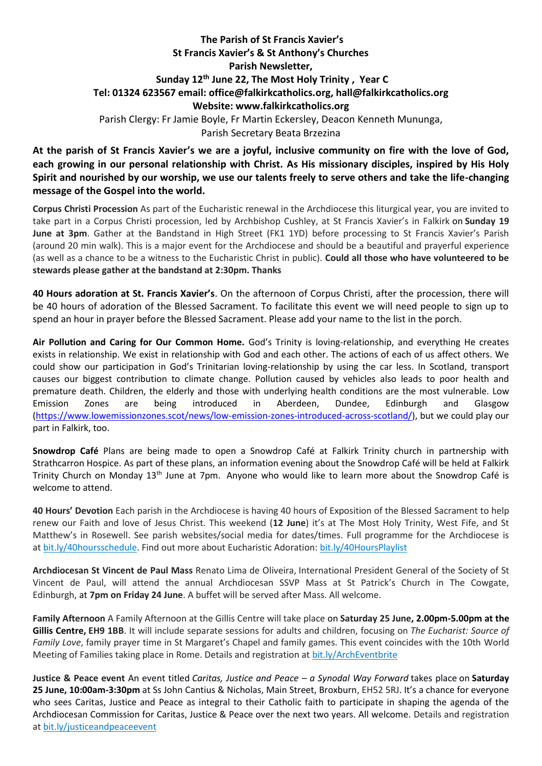## **The Parish of St Francis Xavier's St Francis Xavier's & St Anthony's Churches Parish Newsletter, Sunday 12th June 22, The Most Holy Trinity , Year C Tel: 01324 623567 email: office@falkirkcatholics.org, [hall@falkirkcatholics.org](mailto:hall@falkirkcatholics.org) Website: [www.falkirkcatholics.org](http://www.falkirkcatholics.org/)**  Parish Clergy: Fr Jamie Boyle, Fr Martin Eckersley, Deacon Kenneth Mununga, Parish Secretary Beata Brzezina

**At the parish of St Francis Xavier's we are a joyful, inclusive community on fire with the love of God, each growing in our personal relationship with Christ. As His missionary disciples, inspired by His Holy Spirit and nourished by our worship, we use our talents freely to serve others and take the life-changing message of the Gospel into the world.**

**Corpus Christi Procession** As part of the Eucharistic renewal in the Archdiocese this liturgical year, you are invited to take part in a Corpus Christi procession, led by Archbishop Cushley, at St Francis Xavier's in Falkirk on **Sunday 19 June at 3pm**. Gather at the Bandstand in High Street (FK1 1YD) before processing to St Francis Xavier's Parish (around 20 min walk). This is a major event for the Archdiocese and should be a beautiful and prayerful experience (as well as a chance to be a witness to the Eucharistic Christ in public). **Could all those who have volunteered to be stewards please gather at the bandstand at 2:30pm. Thanks** 

**40 Hours adoration at St. Francis Xavier's**. On the afternoon of Corpus Christi, after the procession, there will be 40 hours of adoration of the Blessed Sacrament. To facilitate this event we will need people to sign up to spend an hour in prayer before the Blessed Sacrament. Please add your name to the list in the porch.

**Air Pollution and Caring for Our Common Home.** God's Trinity is loving-relationship, and everything He creates exists in relationship. We exist in relationship with God and each other. The actions of each of us affect others. We could show our participation in God's Trinitarian loving-relationship by using the car less. In Scotland, transport causes our biggest contribution to climate change. Pollution caused by vehicles also leads to poor health and premature death. Children, the elderly and those with underlying health conditions are the most vulnerable. Low Emission Zones are being introduced in Aberdeen, Dundee, Edinburgh and Glasgow [\(https://www.lowemissionzones.scot/news/low-emission-zones-introduced-across-scotland/\)](https://www.lowemissionzones.scot/news/low-emission-zones-introduced-across-scotland/), but we could play our part in Falkirk, too.

**Snowdrop Café** Plans are being made to open a Snowdrop Café at Falkirk Trinity church in partnership with Strathcarron Hospice. As part of these plans, an information evening about the Snowdrop Café will be held at Falkirk Trinity Church on Monday 13<sup>th</sup> June at 7pm. Anyone who would like to learn more about the Snowdrop Café is welcome to attend.

**40 Hours' Devotion** Each parish in the Archdiocese is having 40 hours of Exposition of the Blessed Sacrament to help renew our Faith and love of Jesus Christ. This weekend (**12 June**) it's at The Most Holy Trinity, West Fife, and St Matthew's in Rosewell. See parish websites/social media for dates/times. Full programme for the Archdiocese is at [bit.ly/40hoursschedule.](https://bit.ly/40hoursschedule?fbclid=IwAR2SjJ2jLYhcQumxKK24uHJHDu0y-uda3HFzPBQ4uxFkH3KVV6pbMOMH8xU) Find out more about Eucharistic Adoration: [bit.ly/40HoursPlaylist](https://www.youtube.com/playlist?list=PLQv_xMj23KQhTlXah0pBiYjsZDFx2grae)

**Archdiocesan St Vincent de Paul Mass** Renato Lima de Oliveira, International President General of the Society of St Vincent de Paul, will attend the annual Archdiocesan SSVP Mass at St Patrick's Church in The Cowgate, Edinburgh, at **7pm on Friday 24 June**. A buffet will be served after Mass. All welcome.

**Family Afternoon** A Family Afternoon at the Gillis Centre will take place on **Saturday 25 June, 2.00pm-5.00pm at the Gillis Centre, EH9 1BB**. It will include separate sessions for adults and children, focusing on *The Eucharist: Source of Family Love*, family prayer time in St Margaret's Chapel and family games. This event coincides with the 10th World Meeting of Families taking place in Rome. Details and registration at [bit.ly/ArchEventbrite](https://bit.ly/ArchEventbrite)

**Justice & Peace event** An event titled *Caritas, Justice and Peace – a Synodal Way Forward* takes place on **Saturday 25 June, 10:00am-3:30pm** at Ss John Cantius & Nicholas, Main Street, Broxburn, EH52 5RJ. It's a chance for everyone who sees Caritas, Justice and Peace as integral to their Catholic faith to participate in shaping the agenda of the Archdiocesan Commission for Caritas, Justice & Peace over the next two years. All welcome. Details and registration at [bit.ly/justiceandpeaceevent](https://www.eventbrite.co.uk/e/caritas-justice-peace-a-synodal-way-forward-tickets-306485475307)